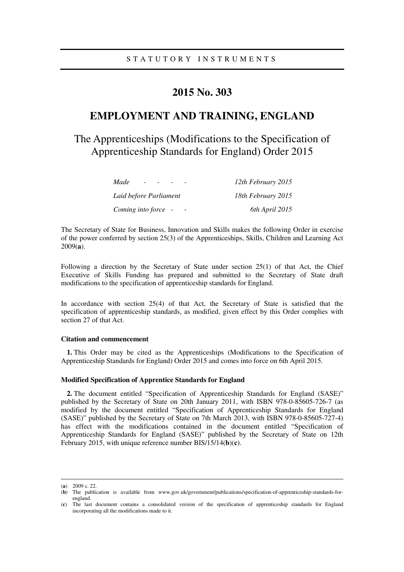# **2015 No. 303**

# **EMPLOYMENT AND TRAINING, ENGLAND**

The Apprenticeships (Modifications to the Specification of Apprenticeship Standards for England) Order 2015

| Made                   | 12th February 2015 |
|------------------------|--------------------|
| Laid before Parliament | 18th February 2015 |
| Coming into force -    | 6th April 2015     |

The Secretary of State for Business, Innovation and Skills makes the following Order in exercise of the power conferred by section 25(3) of the Apprenticeships, Skills, Children and Learning Act 2009(**a**).

Following a direction by the Secretary of State under section 25(1) of that Act, the Chief Executive of Skills Funding has prepared and submitted to the Secretary of State draft modifications to the specification of apprenticeship standards for England.

In accordance with section 25(4) of that Act, the Secretary of State is satisfied that the specification of apprenticeship standards, as modified, given effect by this Order complies with section 27 of that Act.

### **Citation and commencement**

**1.** This Order may be cited as the Apprenticeships (Modifications to the Specification of Apprenticeship Standards for England) Order 2015 and comes into force on 6th April 2015.

#### **Modified Specification of Apprentice Standards for England**

**2.** The document entitled "Specification of Apprenticeship Standards for England (SASE)" published by the Secretary of State on 20th January 2011, with ISBN 978-0-85605-726-7 (as modified by the document entitled "Specification of Apprenticeship Standards for England (SASE)" published by the Secretary of State on 7th March 2013, with ISBN 978-0-85605-727-4) has effect with the modifications contained in the document entitled "Specification of Apprenticeship Standards for England (SASE)" published by the Secretary of State on 12th February 2015, with unique reference number BIS/15/14(**b**)(**c**).

<u>.</u>

<sup>(</sup>**a**) 2009 c. 22.

<sup>(</sup>**b**) The publication is available from www.gov.uk/government/publications/specification-of-apprenticeship-standards-forengland.

<sup>(</sup>**c**) The last document contains a consolidated version of the specification of apprenticeship standards for England incorporating all the modifications made to it.